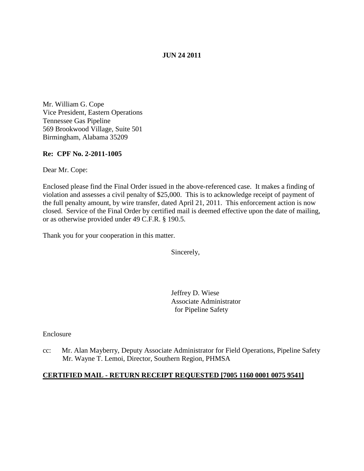## **JUN 24 2011**

Mr. William G. Cope Vice President, Eastern Operations Tennessee Gas Pipeline 569 Brookwood Village, Suite 501 Birmingham, Alabama 35209

#### **Re: CPF No. 2-2011-1005**

Dear Mr. Cope:

Enclosed please find the Final Order issued in the above-referenced case. It makes a finding of violation and assesses a civil penalty of \$25,000. This is to acknowledge receipt of payment of the full penalty amount, by wire transfer, dated April 21, 2011. This enforcement action is now closed. Service of the Final Order by certified mail is deemed effective upon the date of mailing, or as otherwise provided under 49 C.F.R. § 190.5.

Thank you for your cooperation in this matter.

Sincerely,

Jeffrey D. Wiese Associate Administrator for Pipeline Safety

Enclosure

cc: Mr. Alan Mayberry, Deputy Associate Administrator for Field Operations, Pipeline Safety Mr. Wayne T. Lemoi, Director, Southern Region, PHMSA

# **CERTIFIED MAIL - RETURN RECEIPT REQUESTED [7005 1160 0001 0075 9541]**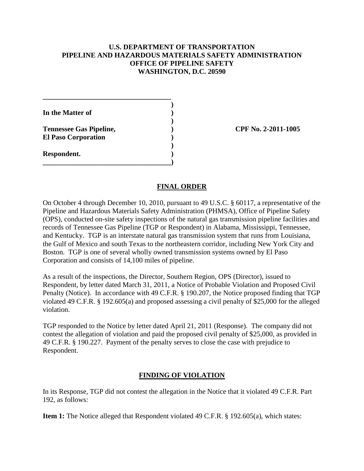## **U.S. DEPARTMENT OF TRANSPORTATION PIPELINE AND HAZARDOUS MATERIALS SAFETY ADMINISTRATION OFFICE OF PIPELINE SAFETY WASHINGTON, D.C. 20590**

**Tennessee Gas Pipeline, ) CPF No. 2-2011-1005**

## **FINAL ORDER**

On October 4 through December 10, 2010, pursuant to 49 U.S.C. § 60117, a representative of the Pipeline and Hazardous Materials Safety Administration (PHMSA), Office of Pipeline Safety (OPS), conducted on-site safety inspections of the natural gas transmission pipeline facilities and records of Tennessee Gas Pipeline (TGP or Respondent) in Alabama, Mississippi, Tennessee, and Kentucky. TGP is an interstate natural gas transmission system that runs from Louisiana, the Gulf of Mexico and south Texas to the northeastern corridor, including New York City and Boston. TGP is one of several wholly owned transmission systems owned by El Paso Corporation and consists of 14,100 miles of pipeline.

As a result of the inspections, the Director, Southern Region, OPS (Director), issued to Respondent, by letter dated March 31, 2011, a Notice of Probable Violation and Proposed Civil Penalty (Notice). In accordance with 49 C.F.R. § 190.207, the Notice proposed finding that TGP violated 49 C.F.R. § 192.605(a) and proposed assessing a civil penalty of \$25,000 for the alleged violation.

TGP responded to the Notice by letter dated April 21, 2011 (Response). The company did not contest the allegation of violation and paid the proposed civil penalty of \$25,000, as provided in 49 C.F.R. § 190.227. Payment of the penalty serves to close the case with prejudice to Respondent.

#### **FINDING OF VIOLATION**

In its Response, TGP did not contest the allegation in the Notice that it violated 49 C.F.R. Part 192, as follows:

**Item 1:** The Notice alleged that Respondent violated 49 C.F.R. § 192.605(a), which states: